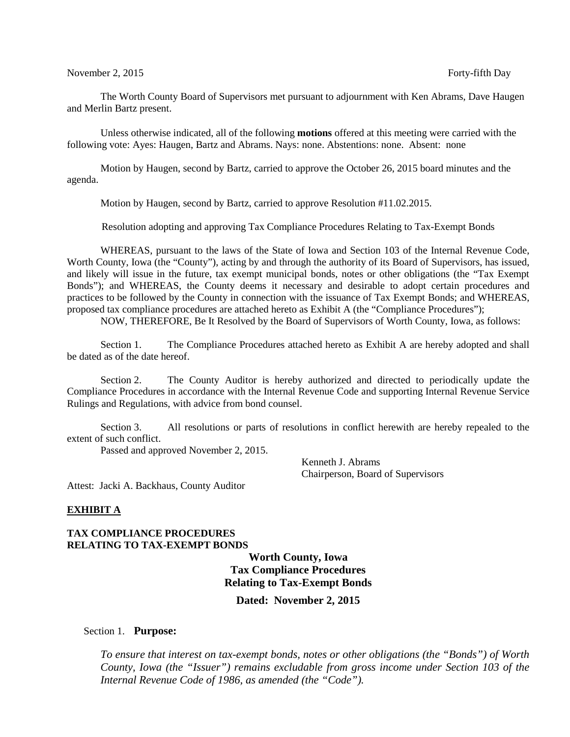The Worth County Board of Supervisors met pursuant to adjournment with Ken Abrams, Dave Haugen and Merlin Bartz present.

Unless otherwise indicated, all of the following **motions** offered at this meeting were carried with the following vote: Ayes: Haugen, Bartz and Abrams. Nays: none. Abstentions: none. Absent: none

Motion by Haugen, second by Bartz, carried to approve the October 26, 2015 board minutes and the agenda.

Motion by Haugen, second by Bartz, carried to approve Resolution #11.02.2015.

Resolution adopting and approving Tax Compliance Procedures Relating to Tax-Exempt Bonds

WHEREAS, pursuant to the laws of the State of Iowa and Section 103 of the Internal Revenue Code, Worth County, Iowa (the "County"), acting by and through the authority of its Board of Supervisors, has issued, and likely will issue in the future, tax exempt municipal bonds, notes or other obligations (the "Tax Exempt Bonds"); and WHEREAS, the County deems it necessary and desirable to adopt certain procedures and practices to be followed by the County in connection with the issuance of Tax Exempt Bonds; and WHEREAS, proposed tax compliance procedures are attached hereto as Exhibit A (the "Compliance Procedures");

NOW, THEREFORE, Be It Resolved by the Board of Supervisors of Worth County, Iowa, as follows:

Section 1. The Compliance Procedures attached hereto as Exhibit A are hereby adopted and shall be dated as of the date hereof.

Section 2. The County Auditor is hereby authorized and directed to periodically update the Compliance Procedures in accordance with the Internal Revenue Code and supporting Internal Revenue Service Rulings and Regulations, with advice from bond counsel.

Section 3. All resolutions or parts of resolutions in conflict herewith are hereby repealed to the extent of such conflict.

Passed and approved November 2, 2015.

Kenneth J. Abrams Chairperson, Board of Supervisors

Attest: Jacki A. Backhaus, County Auditor

#### **EXHIBIT A**

### **TAX COMPLIANCE PROCEDURES RELATING TO TAX-EXEMPT BONDS**

**Worth County, Iowa Tax Compliance Procedures Relating to Tax-Exempt Bonds**

**Dated: November 2, 2015**

#### Section 1. **Purpose:**

*To ensure that interest on tax-exempt bonds, notes or other obligations (the "Bonds") of Worth County, Iowa (the "Issuer") remains excludable from gross income under Section 103 of the Internal Revenue Code of 1986, as amended (the "Code").*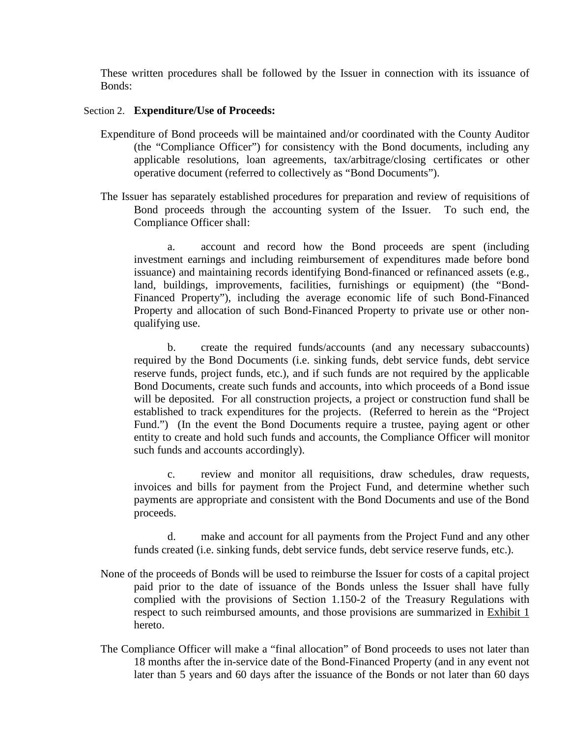These written procedures shall be followed by the Issuer in connection with its issuance of Bonds:

## Section 2. **Expenditure/Use of Proceeds:**

- Expenditure of Bond proceeds will be maintained and/or coordinated with the County Auditor (the "Compliance Officer") for consistency with the Bond documents, including any applicable resolutions, loan agreements, tax/arbitrage/closing certificates or other operative document (referred to collectively as "Bond Documents").
- The Issuer has separately established procedures for preparation and review of requisitions of Bond proceeds through the accounting system of the Issuer. To such end, the Compliance Officer shall:

a. account and record how the Bond proceeds are spent (including investment earnings and including reimbursement of expenditures made before bond issuance) and maintaining records identifying Bond-financed or refinanced assets (e.g., land, buildings, improvements, facilities, furnishings or equipment) (the "Bond-Financed Property"), including the average economic life of such Bond-Financed Property and allocation of such Bond-Financed Property to private use or other nonqualifying use.

b. create the required funds/accounts (and any necessary subaccounts) required by the Bond Documents (i.e. sinking funds, debt service funds, debt service reserve funds, project funds, etc.), and if such funds are not required by the applicable Bond Documents, create such funds and accounts, into which proceeds of a Bond issue will be deposited. For all construction projects, a project or construction fund shall be established to track expenditures for the projects. (Referred to herein as the "Project Fund.") (In the event the Bond Documents require a trustee, paying agent or other entity to create and hold such funds and accounts, the Compliance Officer will monitor such funds and accounts accordingly).

c. review and monitor all requisitions, draw schedules, draw requests, invoices and bills for payment from the Project Fund, and determine whether such payments are appropriate and consistent with the Bond Documents and use of the Bond proceeds.

d. make and account for all payments from the Project Fund and any other funds created (i.e. sinking funds, debt service funds, debt service reserve funds, etc.).

- None of the proceeds of Bonds will be used to reimburse the Issuer for costs of a capital project paid prior to the date of issuance of the Bonds unless the Issuer shall have fully complied with the provisions of Section 1.150-2 of the Treasury Regulations with respect to such reimbursed amounts, and those provisions are summarized in Exhibit 1 hereto.
- The Compliance Officer will make a "final allocation" of Bond proceeds to uses not later than 18 months after the in-service date of the Bond-Financed Property (and in any event not later than 5 years and 60 days after the issuance of the Bonds or not later than 60 days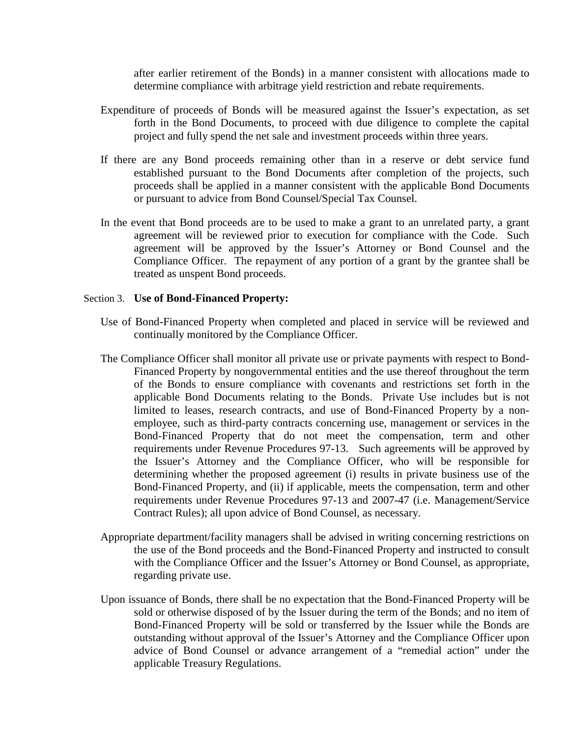after earlier retirement of the Bonds) in a manner consistent with allocations made to determine compliance with arbitrage yield restriction and rebate requirements.

- Expenditure of proceeds of Bonds will be measured against the Issuer's expectation, as set forth in the Bond Documents, to proceed with due diligence to complete the capital project and fully spend the net sale and investment proceeds within three years.
- If there are any Bond proceeds remaining other than in a reserve or debt service fund established pursuant to the Bond Documents after completion of the projects, such proceeds shall be applied in a manner consistent with the applicable Bond Documents or pursuant to advice from Bond Counsel/Special Tax Counsel.
- In the event that Bond proceeds are to be used to make a grant to an unrelated party, a grant agreement will be reviewed prior to execution for compliance with the Code. Such agreement will be approved by the Issuer's Attorney or Bond Counsel and the Compliance Officer. The repayment of any portion of a grant by the grantee shall be treated as unspent Bond proceeds.

### Section 3. **Use of Bond-Financed Property:**

- Use of Bond-Financed Property when completed and placed in service will be reviewed and continually monitored by the Compliance Officer.
- The Compliance Officer shall monitor all private use or private payments with respect to Bond-Financed Property by nongovernmental entities and the use thereof throughout the term of the Bonds to ensure compliance with covenants and restrictions set forth in the applicable Bond Documents relating to the Bonds. Private Use includes but is not limited to leases, research contracts, and use of Bond-Financed Property by a nonemployee, such as third-party contracts concerning use, management or services in the Bond-Financed Property that do not meet the compensation, term and other requirements under Revenue Procedures 97-13. Such agreements will be approved by the Issuer's Attorney and the Compliance Officer, who will be responsible for determining whether the proposed agreement (i) results in private business use of the Bond-Financed Property, and (ii) if applicable, meets the compensation, term and other requirements under Revenue Procedures 97-13 and 2007-47 (i.e. Management/Service Contract Rules); all upon advice of Bond Counsel, as necessary.
- Appropriate department/facility managers shall be advised in writing concerning restrictions on the use of the Bond proceeds and the Bond-Financed Property and instructed to consult with the Compliance Officer and the Issuer's Attorney or Bond Counsel, as appropriate, regarding private use.
- Upon issuance of Bonds, there shall be no expectation that the Bond-Financed Property will be sold or otherwise disposed of by the Issuer during the term of the Bonds; and no item of Bond-Financed Property will be sold or transferred by the Issuer while the Bonds are outstanding without approval of the Issuer's Attorney and the Compliance Officer upon advice of Bond Counsel or advance arrangement of a "remedial action" under the applicable Treasury Regulations.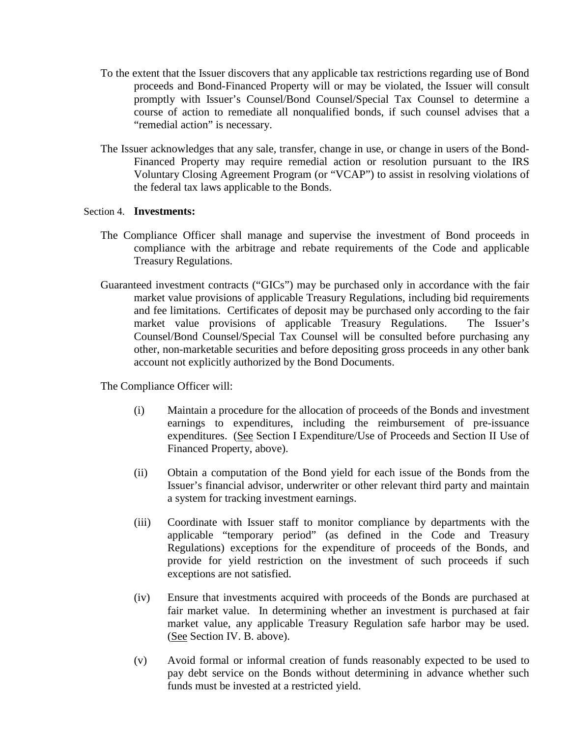- To the extent that the Issuer discovers that any applicable tax restrictions regarding use of Bond proceeds and Bond-Financed Property will or may be violated, the Issuer will consult promptly with Issuer's Counsel/Bond Counsel/Special Tax Counsel to determine a course of action to remediate all nonqualified bonds, if such counsel advises that a "remedial action" is necessary.
- The Issuer acknowledges that any sale, transfer, change in use, or change in users of the Bond-Financed Property may require remedial action or resolution pursuant to the IRS Voluntary Closing Agreement Program (or "VCAP") to assist in resolving violations of the federal tax laws applicable to the Bonds.

## Section 4. **Investments:**

- The Compliance Officer shall manage and supervise the investment of Bond proceeds in compliance with the arbitrage and rebate requirements of the Code and applicable Treasury Regulations.
- Guaranteed investment contracts ("GICs") may be purchased only in accordance with the fair market value provisions of applicable Treasury Regulations, including bid requirements and fee limitations. Certificates of deposit may be purchased only according to the fair market value provisions of applicable Treasury Regulations. The Issuer's Counsel/Bond Counsel/Special Tax Counsel will be consulted before purchasing any other, non-marketable securities and before depositing gross proceeds in any other bank account not explicitly authorized by the Bond Documents.

The Compliance Officer will:

- (i) Maintain a procedure for the allocation of proceeds of the Bonds and investment earnings to expenditures, including the reimbursement of pre-issuance expenditures. (See Section I Expenditure/Use of Proceeds and Section II Use of Financed Property, above).
- (ii) Obtain a computation of the Bond yield for each issue of the Bonds from the Issuer's financial advisor, underwriter or other relevant third party and maintain a system for tracking investment earnings.
- (iii) Coordinate with Issuer staff to monitor compliance by departments with the applicable "temporary period" (as defined in the Code and Treasury Regulations) exceptions for the expenditure of proceeds of the Bonds, and provide for yield restriction on the investment of such proceeds if such exceptions are not satisfied.
- (iv) Ensure that investments acquired with proceeds of the Bonds are purchased at fair market value. In determining whether an investment is purchased at fair market value, any applicable Treasury Regulation safe harbor may be used. (See Section IV. B. above).
- (v) Avoid formal or informal creation of funds reasonably expected to be used to pay debt service on the Bonds without determining in advance whether such funds must be invested at a restricted yield.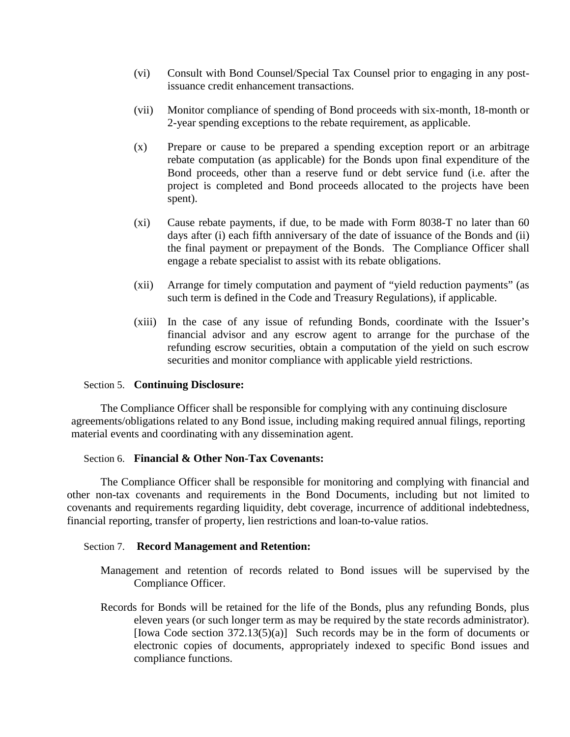- (vi) Consult with Bond Counsel/Special Tax Counsel prior to engaging in any postissuance credit enhancement transactions.
- (vii) Monitor compliance of spending of Bond proceeds with six-month, 18-month or 2-year spending exceptions to the rebate requirement, as applicable.
- (x) Prepare or cause to be prepared a spending exception report or an arbitrage rebate computation (as applicable) for the Bonds upon final expenditure of the Bond proceeds, other than a reserve fund or debt service fund (i.e. after the project is completed and Bond proceeds allocated to the projects have been spent).
- (xi) Cause rebate payments, if due, to be made with Form 8038-T no later than 60 days after (i) each fifth anniversary of the date of issuance of the Bonds and (ii) the final payment or prepayment of the Bonds. The Compliance Officer shall engage a rebate specialist to assist with its rebate obligations.
- (xii) Arrange for timely computation and payment of "yield reduction payments" (as such term is defined in the Code and Treasury Regulations), if applicable.
- (xiii) In the case of any issue of refunding Bonds, coordinate with the Issuer's financial advisor and any escrow agent to arrange for the purchase of the refunding escrow securities, obtain a computation of the yield on such escrow securities and monitor compliance with applicable yield restrictions.

## Section 5. **Continuing Disclosure:**

The Compliance Officer shall be responsible for complying with any continuing disclosure agreements/obligations related to any Bond issue, including making required annual filings, reporting material events and coordinating with any dissemination agent.

## Section 6. **Financial & Other Non-Tax Covenants:**

The Compliance Officer shall be responsible for monitoring and complying with financial and other non-tax covenants and requirements in the Bond Documents, including but not limited to covenants and requirements regarding liquidity, debt coverage, incurrence of additional indebtedness, financial reporting, transfer of property, lien restrictions and loan-to-value ratios.

### Section 7. **Record Management and Retention:**

- Management and retention of records related to Bond issues will be supervised by the Compliance Officer.
- Records for Bonds will be retained for the life of the Bonds, plus any refunding Bonds, plus eleven years (or such longer term as may be required by the state records administrator). [Iowa Code section 372.13(5)(a)] Such records may be in the form of documents or electronic copies of documents, appropriately indexed to specific Bond issues and compliance functions.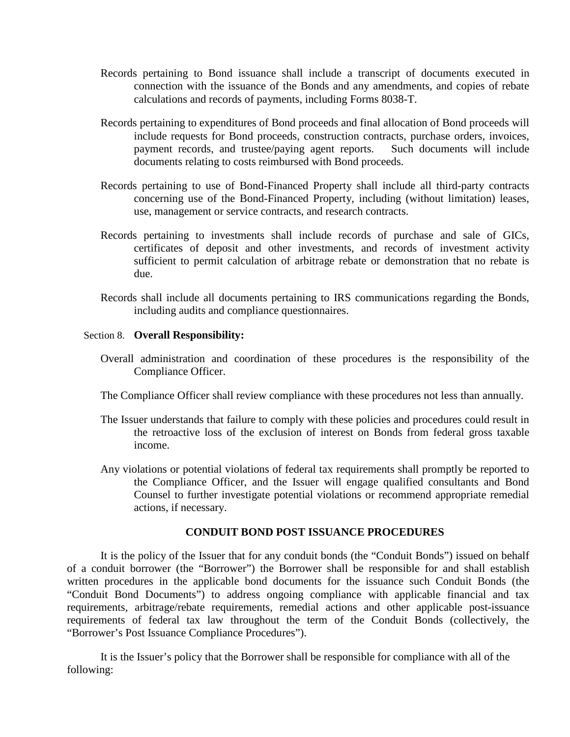- Records pertaining to Bond issuance shall include a transcript of documents executed in connection with the issuance of the Bonds and any amendments, and copies of rebate calculations and records of payments, including Forms 8038-T.
- Records pertaining to expenditures of Bond proceeds and final allocation of Bond proceeds will include requests for Bond proceeds, construction contracts, purchase orders, invoices, payment records, and trustee/paying agent reports. Such documents will include documents relating to costs reimbursed with Bond proceeds.
- Records pertaining to use of Bond-Financed Property shall include all third-party contracts concerning use of the Bond-Financed Property, including (without limitation) leases, use, management or service contracts, and research contracts.
- Records pertaining to investments shall include records of purchase and sale of GICs, certificates of deposit and other investments, and records of investment activity sufficient to permit calculation of arbitrage rebate or demonstration that no rebate is due.
- Records shall include all documents pertaining to IRS communications regarding the Bonds, including audits and compliance questionnaires.

## Section 8. **Overall Responsibility:**

- Overall administration and coordination of these procedures is the responsibility of the Compliance Officer.
- The Compliance Officer shall review compliance with these procedures not less than annually.
- The Issuer understands that failure to comply with these policies and procedures could result in the retroactive loss of the exclusion of interest on Bonds from federal gross taxable income.
- Any violations or potential violations of federal tax requirements shall promptly be reported to the Compliance Officer, and the Issuer will engage qualified consultants and Bond Counsel to further investigate potential violations or recommend appropriate remedial actions, if necessary.

## **CONDUIT BOND POST ISSUANCE PROCEDURES**

It is the policy of the Issuer that for any conduit bonds (the "Conduit Bonds") issued on behalf of a conduit borrower (the "Borrower") the Borrower shall be responsible for and shall establish written procedures in the applicable bond documents for the issuance such Conduit Bonds (the "Conduit Bond Documents") to address ongoing compliance with applicable financial and tax requirements, arbitrage/rebate requirements, remedial actions and other applicable post-issuance requirements of federal tax law throughout the term of the Conduit Bonds (collectively, the "Borrower's Post Issuance Compliance Procedures").

It is the Issuer's policy that the Borrower shall be responsible for compliance with all of the following: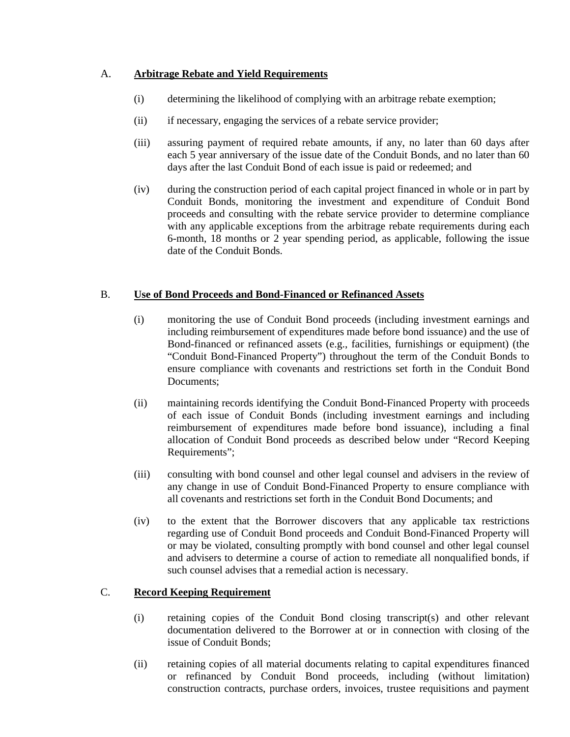# A. **Arbitrage Rebate and Yield Requirements**

- (i) determining the likelihood of complying with an arbitrage rebate exemption;
- (ii) if necessary, engaging the services of a rebate service provider;
- (iii) assuring payment of required rebate amounts, if any, no later than 60 days after each 5 year anniversary of the issue date of the Conduit Bonds, and no later than 60 days after the last Conduit Bond of each issue is paid or redeemed; and
- (iv) during the construction period of each capital project financed in whole or in part by Conduit Bonds, monitoring the investment and expenditure of Conduit Bond proceeds and consulting with the rebate service provider to determine compliance with any applicable exceptions from the arbitrage rebate requirements during each 6-month, 18 months or 2 year spending period, as applicable, following the issue date of the Conduit Bonds.

# B. **Use of Bond Proceeds and Bond-Financed or Refinanced Assets**

- (i) monitoring the use of Conduit Bond proceeds (including investment earnings and including reimbursement of expenditures made before bond issuance) and the use of Bond-financed or refinanced assets (e.g., facilities, furnishings or equipment) (the "Conduit Bond-Financed Property") throughout the term of the Conduit Bonds to ensure compliance with covenants and restrictions set forth in the Conduit Bond Documents:
- (ii) maintaining records identifying the Conduit Bond-Financed Property with proceeds of each issue of Conduit Bonds (including investment earnings and including reimbursement of expenditures made before bond issuance), including a final allocation of Conduit Bond proceeds as described below under "Record Keeping Requirements";
- (iii) consulting with bond counsel and other legal counsel and advisers in the review of any change in use of Conduit Bond-Financed Property to ensure compliance with all covenants and restrictions set forth in the Conduit Bond Documents; and
- (iv) to the extent that the Borrower discovers that any applicable tax restrictions regarding use of Conduit Bond proceeds and Conduit Bond-Financed Property will or may be violated, consulting promptly with bond counsel and other legal counsel and advisers to determine a course of action to remediate all nonqualified bonds, if such counsel advises that a remedial action is necessary.

## C. **Record Keeping Requirement**

- (i) retaining copies of the Conduit Bond closing transcript(s) and other relevant documentation delivered to the Borrower at or in connection with closing of the issue of Conduit Bonds;
- (ii) retaining copies of all material documents relating to capital expenditures financed or refinanced by Conduit Bond proceeds, including (without limitation) construction contracts, purchase orders, invoices, trustee requisitions and payment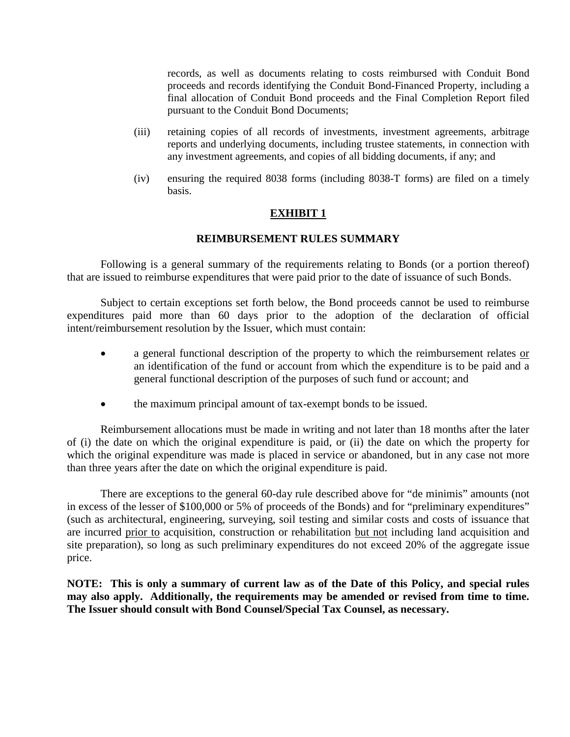records, as well as documents relating to costs reimbursed with Conduit Bond proceeds and records identifying the Conduit Bond-Financed Property, including a final allocation of Conduit Bond proceeds and the Final Completion Report filed pursuant to the Conduit Bond Documents;

- (iii) retaining copies of all records of investments, investment agreements, arbitrage reports and underlying documents, including trustee statements, in connection with any investment agreements, and copies of all bidding documents, if any; and
- (iv) ensuring the required 8038 forms (including 8038-T forms) are filed on a timely basis.

## **EXHIBIT 1**

## **REIMBURSEMENT RULES SUMMARY**

Following is a general summary of the requirements relating to Bonds (or a portion thereof) that are issued to reimburse expenditures that were paid prior to the date of issuance of such Bonds.

Subject to certain exceptions set forth below, the Bond proceeds cannot be used to reimburse expenditures paid more than 60 days prior to the adoption of the declaration of official intent/reimbursement resolution by the Issuer, which must contain:

- a general functional description of the property to which the reimbursement relates or an identification of the fund or account from which the expenditure is to be paid and a general functional description of the purposes of such fund or account; and
- the maximum principal amount of tax-exempt bonds to be issued.

Reimbursement allocations must be made in writing and not later than 18 months after the later of (i) the date on which the original expenditure is paid, or (ii) the date on which the property for which the original expenditure was made is placed in service or abandoned, but in any case not more than three years after the date on which the original expenditure is paid.

There are exceptions to the general 60-day rule described above for "de minimis" amounts (not in excess of the lesser of \$100,000 or 5% of proceeds of the Bonds) and for "preliminary expenditures" (such as architectural, engineering, surveying, soil testing and similar costs and costs of issuance that are incurred prior to acquisition, construction or rehabilitation but not including land acquisition and site preparation), so long as such preliminary expenditures do not exceed 20% of the aggregate issue price.

**NOTE: This is only a summary of current law as of the Date of this Policy, and special rules may also apply. Additionally, the requirements may be amended or revised from time to time. The Issuer should consult with Bond Counsel/Special Tax Counsel, as necessary.**